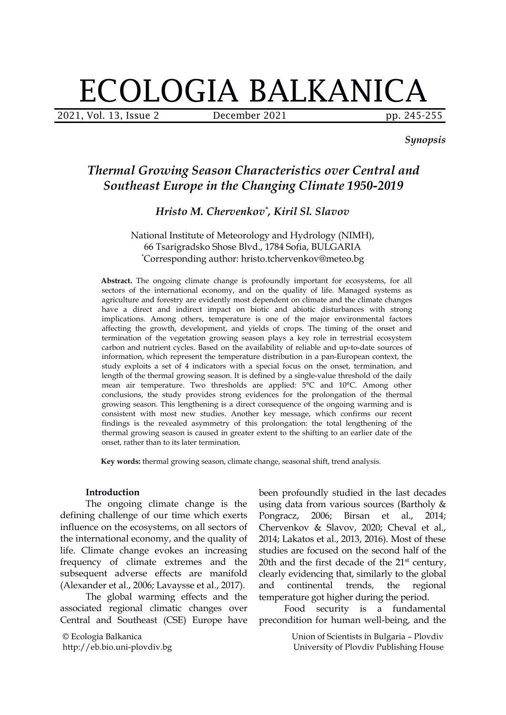# ECOLOGIA BALKANICA

2021, Vol. 13, Issue 2 December 2021 pp. 245-255

*Synopsis*

# *Thermal Growing Season Characteristics over Central and Southeast Europe in the Changing Climate 1950-2019*

## *Hristo M. Chervenkov \* , Kiril Sl. Slavov*

#### National Institute of Meteorology and Hydrology (NIMH), 66 Tsarigradsko Shose Blvd.,1784 Sofia, BULGARIA \*Corresponding author: hristo.tchervenkov@meteo.bg

**Abstract.** The ongoing climate change is profoundly important for ecosystems, for all sectors of the international economy, and on the quality of life. Managed systems as agriculture and forestry are evidently most dependent on climate and the climate changes have a direct and indirect impact on biotic and abiotic disturbances with strong implications. Among others, temperature is one of the major environmental factors affecting the growth, development, and yields of crops. The timing of the onset and termination of the vegetation growing season plays a key role in terrestrial ecosystem carbon and nutrient cycles. Based on the availability of reliable and up-to-date sources of information, which represent the temperature distribution in a pan-European context, the study exploits a set of 4 indicators with a special focus on the onset, termination, and length of the thermal growing season. It is defined by a single-value threshold of the daily mean air temperature. Two thresholds are applied:  $5^{\circ}$ C and  $10^{\circ}$ C. Among other conclusions, the study provides strong evidences for the prolongation of the thermal growing season. This lengthening is a direct consequence of the ongoing warming and is consistent with most new studies. Another key message, which confirms our recent findings is the revealed asymmetry of this prolongation: the total lengthening of the thermal growing season is caused in greater extent to the shifting to an earlier date of the onset, rather than to its later termination.

**Key words:** thermal growing season, climate change, seasonal shift, trend analysis.

#### **Introduction**

The ongoing climate change is the defining challenge of our time which exerts Pongracz, 2006; influence on the ecosystems, on all sectors of the international economy, and the quality of life. Climate change evokes an increasing frequency of climate extremes and the subsequent adverse effects are manifold (Alexander et al., 2006; Lavaysse et al., 2017).

The global warming effects and the associated regional climatic changes over Central and Southeast (CSE) Europe have

© Ecologia Balkanica http://eb.bio.uni-plovdiv.bg been profoundly studied in the last decades using data from various sources (Bartholy & Pongracz, 2006; Birsan et al., 2014; Chervenkov & Slavov, 2020; Cheval et al., 2014; Lakatos et al., 2013, 2016). Most of these studies are focused on the second half of the 20th and the first decade of the 21<sup>st</sup> century, clearly evidencing that, similarly to the global continental trends, the regional temperature got higher during the period.

Food security is a fundamental precondition for human well-being, and the

> Union of Scientists in Bulgaria – Plovdiv University of Plovdiv Publishing House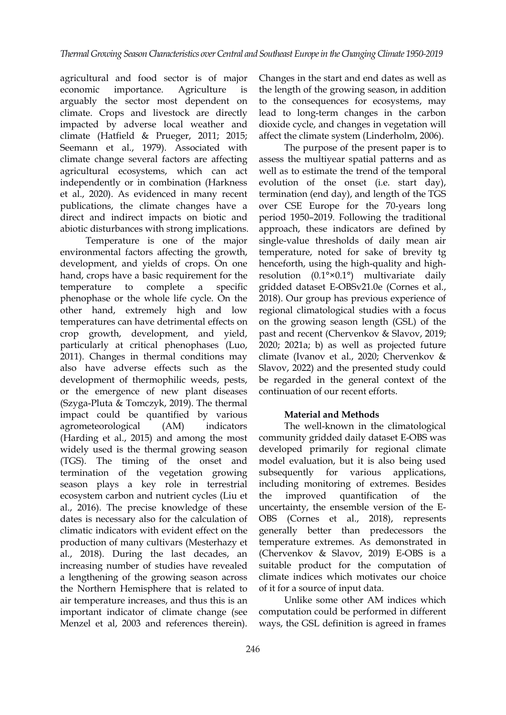agricultural and food sector is of major economic importance. Agriculture is the length of the growing season, in addition arguably the sector most dependent on climate. Crops and livestock are directly impacted by adverse local weather and climate (Hatfield & Prueger, 2011; 2015; Seemann et al., 1979). Associated with climate change several factors are affecting agricultural ecosystems, which can act independently or in combination (Harkness et al., 2020). As evidenced in many recent publications, the climate changes have a direct and indirect impacts on biotic and abiotic disturbances with strong implications.

Temperature is one of the major environmental factors affecting the growth, development, and yields of crops. On one hand, crops have a basic requirement for the temperature to complete a specific gridded dataset E-OBSv21.0e (Cornes et al., phenophase or the whole life cycle. On the other hand, extremely high and low temperatures can have detrimental effects on crop growth, development, and yield, particularly at critical phenophases (Luo, 2011). Changes in thermal conditions may also have adverse effects such as the development of thermophilic weeds, pests, or the emergence of new plant diseases (Szyga-Pluta & Tomczyk, 2019). The thermal impact could be quantified by various agrometeorological (AM) indicators (Harding et al., 2015) and among the most widely used is the thermal growing season (TGS). The timing of the onset and termination of the vegetation growing season plays a key role in terrestrial ecosystem carbon and nutrient cycles (Liu et al., 2016). The precise knowledge of these dates is necessary also for the calculation of OBS climatic indicators with evident effect on the production of many cultivars (Mesterhazy et al., 2018). During the last decades, an increasing number of studies have revealed a lengthening of the growing season across the Northern Hemisphere that is related to air temperature increases, and thus this is an important indicator of climate change (see Menzel et al, 2003 and references therein).

Changes in the start and end dates as well as to the consequences for ecosystems, may lead to long-term changes in the carbon dioxide cycle, and changes in vegetation will affect the climate system (Linderholm, 2006).

The purpose of the present paper is to assess the multiyear spatial patterns and as well as to estimate the trend of the temporal evolution of the onset (i.e. start day), termination (end day), and length of the TGS over CSE Europe for the 70-years long period 1950–2019. Following the traditional approach, these indicators are defined by single-value thresholds of daily mean air temperature, noted for sake of brevity tg henceforth, using the high-quality and high resolution (0.1°×0.1°) multivariate daily 2018). Our group has previous experience of regional climatological studies with a focus on the growing season length (GSL) of the past and recent (Chervenkov & Slavov, 2019; 2020; 2021a; b) as well as projected future climate (Ivanov et al., 2020; Chervenkov & Slavov, 2022) and the presented study could be regarded in the general context of the continuation of our recent efforts.

#### **Material and Methods**

The well-known in the climatological community gridded daily dataset E-OBS was developed primarily for regional climate model evaluation, but it is also being used subsequently for various applications, including monitoring of extremes. Besides quantification of the uncertainty, the ensemble version of the E- (Cornes et al., 2018), represents generally better than predecessors the temperature extremes. As demonstrated in (Chervenkov & Slavov, 2019) E-OBS is a suitable product for the computation of climate indices which motivates our choice of it for a source of input data.

Unlike some other AM indices which computation could be performed in different ways, the GSL definition is agreed in frames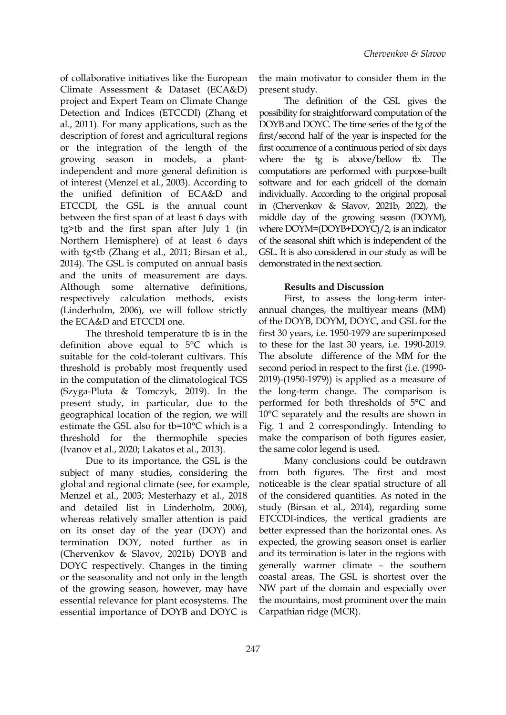of collaborative initiatives like the European Climate Assessment & Dataset (ECA&D) project and Expert Team on Climate Change Detection and Indices (ETCCDI) (Zhang et al., 2011). For many applications, such as the description of forest and agricultural regions or the integration of the length of the growing season in models, a plantindependent and more general definition is of interest (Menzel et al., 2003). According to the unified definition of ECA&D and ETCCDI, the GSL is the annual count between the first span of at least 6 days with tg>tb and the first span after July 1 (in Northern Hemisphere) of at least 6 days with tg<tb (Zhang et al., 2011; Birsan et al., 2014). The GSL is computed on annual basis and the units of measurement are days. Although some alternative definitions, respectively calculation methods, exists (Linderholm, 2006), we will follow strictly the ECA&D and ETCCDI one.

The threshold temperature tb is in the definition above equal to 5°C which is suitable for the cold-tolerant cultivars. This threshold is probably most frequently used in the computation of the climatological TGS (Szyga-Pluta & Tomczyk, 2019). In the present study, in particular, due to the geographical location of the region, we will estimate the GSL also for tb=10°C which is a threshold for the thermophile species (Ivanov et al., 2020; Lakatos et al., 2013).

Due to its importance, the GSL is the subject of many studies, considering the global and regional climate (see, for example, Menzel et al., 2003; Mesterhazy et al., 2018 and detailed list in Linderholm,2006), whereas relatively smaller attention is paid on its onset day of the year (DOY) and termination DOY, noted further as in (Chervenkov & Slavov, 2021b) DOYB and DOYC respectively. Changes in the timing or the seasonality and not only in the length of the growing season, however, may have essential relevance for plant ecosystems. The essential importance of DOYB and DOYC is

the main motivator to consider them in the present study.

The definition of the GSL gives the possibility for straightforward computation of the DOYB and DOYC. The time series of the tg of the first/second half of the year is inspected for the first occurrence of a continuous period of six days where the tg is above/bellow tb. The computations are performed with purpose-built software and for each gridcell of the domain individually. According to the original proposal in (Chervenkov & Slavov, 2021b, 2022), the middle day of the growing season (DOYM), where DOYM=(DOYB+DOYC)/2, is an indicator of the seasonal shift which is independent of the GSL. It is also considered in our study as will be demonstrated in the next section.

#### **Results and Discussion**

First, to assess the long-term inter annual changes, the multiyear means (MM) of the DOYB, DOYM, DOYC, and GSL for the first 30 years, i.e. 1950-1979 are superimposed to these for the last 30 years, i.e. 1990-2019. The absolute difference of the MM for the second period in respect to the first (i.e. (1990- 2019)-(1950-1979)) is applied as a measure of the long-term change. The comparison is performed for both thresholds of 5°C and 10°C separately and the results are shown in Fig. 1 and 2 correspondingly. Intending to make the comparison of both figures easier, the same color legend is used.

Many conclusions could be outdrawn from both figures. The first and most noticeable is the clear spatial structure of all of the considered quantities. As noted in the study (Birsan et al., 2014), regarding some ETCCDI-indices, the vertical gradients are better expressed than the horizontal ones. As expected, the growing season onset is earlier and its termination is later in the regions with generally warmer climate – the southern coastal areas. The GSL is shortest over the NW part of the domain and especially over the mountains, most prominent over the main Carpathian ridge (MCR).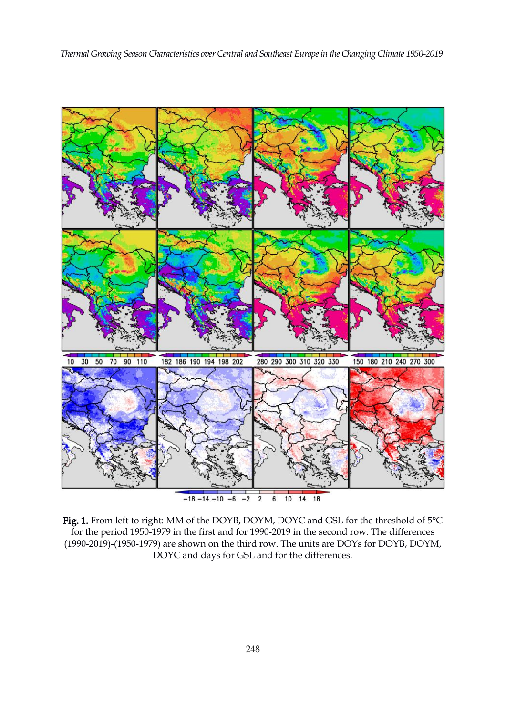

Fig. 1. From left to right: MM of the DOYB, DOYM, DOYC and GSL for the threshold of 5°C for the period 1950-1979 in the first and for 1990-2019 in the second row. The differences (1990-2019)-(1950-1979) are shown on the third row.The units are DOYs for DOYB, DOYM, DOYC and days for GSL and for the differences.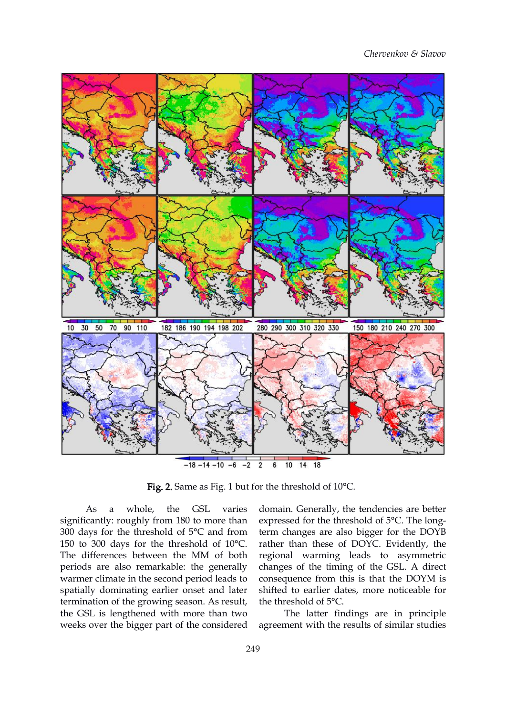*Chervenkov & Slavov*



Fig. 2. Same as Fig. 1 but for the threshold of 10°C.

As a whole, the GSL varies significantly: roughly from 180 to more than 300 days for the threshold of 5°C and from 150 to 300 days for the threshold of 10°C. The differences between the MM of both periods are also remarkable: the generally warmer climate in the second period leads to spatially dominating earlier onset and later termination of the growing season. As result, the GSL is lengthened with more than two weeks over the bigger part of the considered

domain. Generally, the tendencies are better expressed for the threshold of 5°C. The longterm changes are also bigger for the DOYB rather than these of DOYC. Evidently, the regional warming leads to asymmetric changes of the timing of the GSL. A direct consequence from this is that the DOYM is shifted to earlier dates, more noticeable for the threshold of 5°C.

The latter findings are in principle agreement with the results of similar studies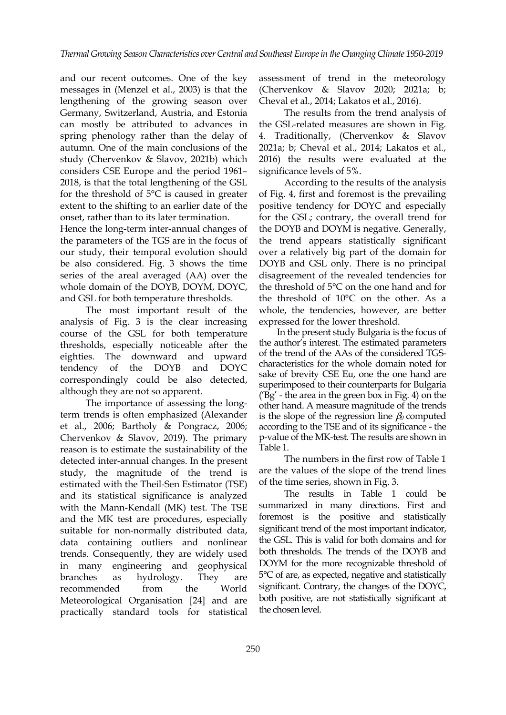and our recent outcomes. One of the key messages in (Menzel et al., 2003) is that the lengthening of the growing season over Germany, Switzerland, Austria, and Estonia can mostly be attributed to advances in spring phenology rather than the delay of autumn. One of the main conclusions of the study (Chervenkov & Slavov, 2021b) which considers CSE Europe and the period 1961– 2018, is that the total lengthening of the GSL for the threshold of 5°C is caused in greater extent to the shifting to an earlier date of the onset, rather than to its later termination.

Hence the long-term inter-annual changes of the parameters of the TGS are in the focus of our study, their temporal evolution should be also considered. Fig. 3 shows the time series of the areal averaged (AA) over the whole domain of the DOYB, DOYM, DOYC, and GSL for both temperature thresholds.

The most important result of the analysis of Fig. 3 is the clear increasing course of the GSL for both temperature thresholds, especially noticeable after the eighties. The downward and upward tendency of the DOYB and DOYC correspondingly could be also detected, although they are not so apparent.

The importance of assessing the longterm trends is often emphasized (Alexander et al., 2006; Bartholy & Pongracz, 2006; Chervenkov & Slavov, 2019). The primary reason is to estimate the sustainability of the Table 1. detected inter-annual changes. In the present study, the magnitude of the trend is estimated with the Theil-Sen Estimator (TSE) and its statistical significance is analyzed with the Mann-Kendall (MK) test. The TSE and the MK test are procedures, especially suitable for non-normally distributed data, data containing outliers and nonlinear trends. Consequently, they are widely used in many engineering and geophysical Meteorological Organisation [24] and are practically standard tools for statistical

assessment of trend in the meteorology (Chervenkov & Slavov 2020; 2021a; b; Cheval et al., 2014; Lakatos et al., 2016).

The results from the trend analysis of the GSL-related measures are shown in Fig. 4. Traditionally, (Chervenkov & Slavov 2021a; b; Cheval et al., 2014; Lakatos et al., 2016) the results were evaluated at the significance levels of 5%.

According to the results of the analysis of Fig. 4, first and foremost is the prevailing positive tendency for DOYC and especially for the GSL; contrary, the overall trend for the DOYB and DOYM is negative. Generally, the trend appears statistically significant over a relatively big part of the domain for DOYB and GSL only. There is no principal disagreement of the revealed tendencies for the threshold of 5°C on the one hand and for the threshold of  $10^{\circ}$ C on the other. As a whole, the tendencies, however, are better expressed for the lower threshold.

In the present study Bulgaria is the focus of the author's interest. The estimated parameters of the trend of the AAs of the considered TGS characteristics for the whole domain noted for sake of brevity CSE Eu, one the one hand are superimposed to their counterparts for Bulgaria  $(Bg'$  - the area in the green box in Fig. 4) on the other hand. A measure magnitude of the trends is the slope of the regression line  $\beta_0$  computed according to the TSE and of its significance - the p-value of the MK-test. The results are shown in

The numbers in the first row of Table 1. are the values of the slope of the trend lines of the time series, shown in Fig. 3.

branches as hydrology. They are 5°C of are, as expected, negative and statistically recommended from the World significant. Contrary, the changes of the DOYC, The results in Table 1 could be summarized in many directions. First and foremost is the positive and statistically significant trend of the most important indicator, the GSL. This is valid for both domains and for both thresholds. The trends of the DOYB and DOYM for the more recognizable threshold of both positive, are not statistically significant at the chosen level.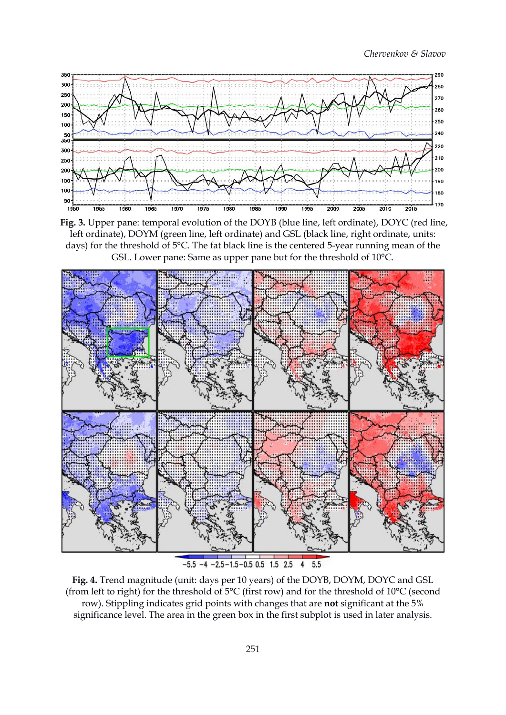*Chervenkov & Slavov*



**Fig. 3.** Upper pane: temporal evolution of the DOYB (blue line, left ordinate), DOYC (red line, left ordinate), DOYM (green line, left ordinate) and GSL (black line, right ordinate, units: days) for the threshold of 5°C. The fat black line is the centered 5-year running mean of the GSL. Lower pane: Same as upper pane but for the threshold of 10°C.



**Fig. 4.** Trend magnitude (unit: days per 10 years) of the DOYB, DOYM, DOYC and GSL (from left to right) for the threshold of  $5^{\circ}$ C (first row) and for the threshold of  $10^{\circ}$ C (second row). Stippling indicates grid points with changes that are **not** significant at the 5% significance level. The area in the green box in the first subplot is used in later analysis.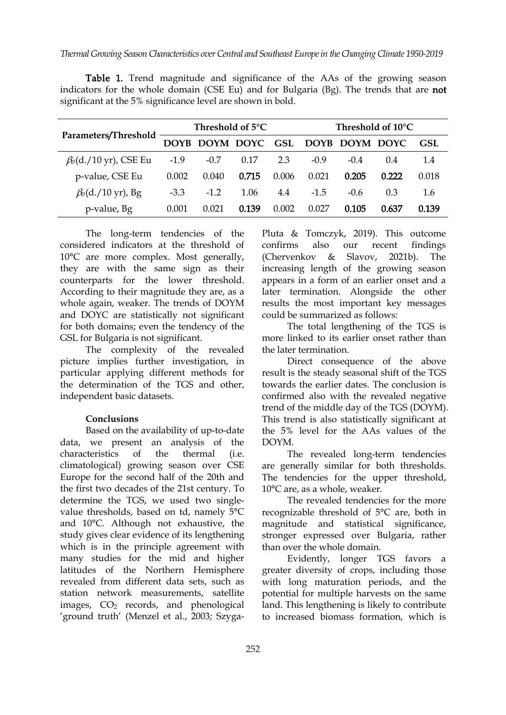| Parameters/Threshold         | Threshold of $5^{\circ}$ C |           |       |       | Threshold of 10°C |                        |       |       |
|------------------------------|----------------------------|-----------|-------|-------|-------------------|------------------------|-------|-------|
|                              | <b>DOYB</b>                | DOYM DOYC |       |       |                   | GSL DOYB DOYM DOYC GSL |       |       |
| $\beta_0$ (d./10 yr), CSE Eu | $-1.9$                     | $-0.7$    | 0.17  | 2.3   | $-0.9$            | $-0.4$                 | 0.4   | 1.4   |
| p-value, CSE Eu              | 0.002                      | 0.040     | 0.715 | 0.006 | 0.021             | 0.205                  | 0.222 | 0.018 |
| $\beta_0$ (d./10 yr), Bg     | $-3.3$                     | $-1.2$    | 1.06  | 4.4   | $-1.5$            | $-0.6$                 | 0.3   | 1.6   |
| p-value, Bg                  | 0.001                      | 0.021     | 0.139 | 0.002 | 0.027             | 0.105                  | 0.637 | 0.139 |

Table 1. Trend magnitude and significance of the AAs of the growing season indicators for the whole domain (CSE Eu) and for Bulgaria (Bg). The trends that are not significant at the 5% significance level are shown in bold.

The long-term tendencies of the considered indicators at the threshold of 10°C are more complex. Most generally, they are with the same sign as their counterparts for the lower threshold. According to their magnitude they are, as a whole again, weaker. The trends of DOYM and DOYC are statistically not significant for both domains; even the tendency of the GSL for Bulgaria is not significant.

The complexity of the revealed picture implies further investigation, in particular applying different methods for the determination of the TGS and other, independent basic datasets.

### **Conclusions**

Based on the availability of up-to-date data, we present an analysis of the characteristics of the thermal (i.e. climatological) growing season over CSE Europe for the second half of the 20th and the first two decades of the 21st century. To determine the TGS, we used two single value thresholds, based on td, namely 5°C and 10°C. Although not exhaustive, the study gives clear evidence of its lengthening which is in the principle agreement with many studies for the mid and higher latitudes of the Northern Hemisphere revealed from different data sets, such as station network measurements, satellite images,  $CO<sub>2</sub>$  records, and phenological 'ground truth' (Menzel et al., 2003; SzygaPluta & Tomczyk, 2019). This outcome confirms also our recent findings (Chervenkov & Slavov, 2021b). The increasing length of the growing season appears in a form of an earlier onset and a later termination. Alongside the other results the most important key messages could be summarized as follows:

The total lengthening of the TGS is more linked to its earlier onset rather than the later termination.

Direct consequence of the above result is the steady seasonal shift of the TGS towards the earlier dates. The conclusion is confirmed also with the revealed negative trend of the middle day of the TGS (DOYM). This trend is also statistically significant at the 5% level for the AAs values of the DOYM.

The revealed long-term tendencies are generally similar for both thresholds. The tendencies for the upper threshold, 10°C are, as a whole, weaker.

The revealed tendencies for the more recognizable threshold of 5°C are, both in magnitude and statistical significance, stronger expressed over Bulgaria, rather than over the whole domain.

Evidently, longer TGS favors a greater diversity of crops, including those with long maturation periods, and the potential for multiple harvests on the same land. This lengthening is likely to contribute to increased biomass formation, which is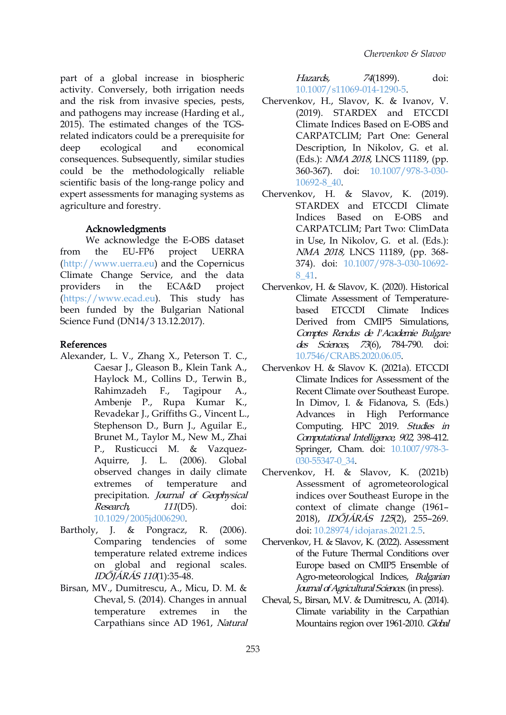part of a global increase in biospheric Hazards, activity. Conversely, both irrigation needs and the risk from invasive species, pests, and pathogens may increase (Harding et al., 2015). The estimated changes of the TGS related indicators could be a prerequisite for deep ecological and economical consequences. Subsequently, similar studies could be the methodologically reliable scientific basis of the long-range policy and expert assessments for managing systems as agriculture and forestry.

#### Acknowledgments

We acknowledge the E-OBS dataset [\(http://www.uerra.eu\)](http://www.uerra.eu) and the Copernicus Climate Change Service, and the data [\(https://www.ecad.eu\)](https://www.ecad.eu/). This study has been funded by the Bulgarian National Science Fund (DN14/3 13.12.2017).

#### References

- Alexander, L. V., Zhang X., Peterson T. C., Caesar J., Gleason B., Klein Tank A., Haylock M., Collins D., Terwin B., Rahimzadeh F., Tagipour A., Ambenje P., Rupa Kumar K., Revadekar J., Griffiths G., Vincent L., Stephenson D., Burn J., Aguilar E., Brunet M., Taylor M., New M., Zhai P., Rusticucci M. & Vazquez- Aquirre, J. L. (2006). Global observed changes in daily climate precipitation. Journal of Geophysical Research, 111(D5). doi: [10.1029/2005jd006290.](https://doi.org/10.1029/2005jd006290)
- Bartholy, J. & Pongracz, R. (2006). Comparing tendencies of some temperature related extreme indices on global and regional scales. IDŐJÁRÁS <sup>110</sup>(1):35-48.
- Birsan, MV., Dumitrescu, A., Micu, D. M. & Cheval, S. (2014). Changes in annual temperature extremes in the Carpathians since AD 1961, Natural

74(1899). doi: [10.1007/s11069-014-1290-5.](https://doi.org/10.1007/s11069-014-1290-5)

- Chervenkov, H., Slavov, K. & Ivanov, V. (2019). STARDEX and ETCCDI Climate Indices Based on E-OBS and CARPATCLIM; Part One: General Description, In Nikolov, G. et al. (Eds.): NMA 2018, LNCS 11189, (pp. 360-367). doi: [10.1007/978-3-030-](https://doi.org/10.1007/978-3-030-10692-8_40) 10692-8\_40.
- from the EU-FP6 project UERRA *NMA 2018,* LNCS 11189, (pp. 368-Chervenkov, H. & Slavov, K. (2019). STARDEX and ETCCDI Climate Indices Based on E-OBS and CARPATCLIM; Part Two: ClimData in Use, In Nikolov, G. et al. (Eds.): 374). doi: [10.1007/978-3-030-10692-](https://doi.org/10.1007/978-3-030-10692-8_41) 8\_41.
- providers in the ECA&D project Chervenkov, H. & Slavov, K. (2020). Historical Climate Assessment of Temperature- ETCCDI Climate Indices Derived from CMIP5 Simulations, Comptes Rendus de l'Academie Bulgare des Sciences, 73(6), 784-790. doi: [10.7546/CRABS.2020.06.05.](https://doi.org/10.7546/CRABS.2020.06.05)
	- Chervenkov H. & Slavov K. (2021a). ETCCDI Climate Indices for Assessment of the Recent Climate over Southeast Europe. In Dimov, I. & Fidanova, S. (Eds.) Advances in High Performance Computing. HPC 2019. Studies in Computational Intelligence, <sup>902</sup>, 398-412. Springer, Cham. doi: [10.1007/978-3-](https://doi.org/10.1007/978-3-030-55347-0_34) 030-55347-0\_34.
	- extremes of temperature and Assessment of agrometeorological Chervenkov, H. & Slavov, K. (2021b) indices over Southeast Europe in the context of climate change (1961– 2018), IDŐJÁRÁS <sup>125</sup>(2), 255–269. doi: [10.28974/idojaras.2021.2.5](https://doi.org/10.28974/idojaras.2021.2.5).
		- Chervenkov, H. & Slavov, K. (2022). Assessment of the Future Thermal Conditions over Europe based on CMIP5 Ensemble of Agro-meteorological Indices, Bulgarian Journal of Agricultural Sciences. (in press).
		- Cheval, S., Birsan, M.V. & Dumitrescu, A. (2014). Climate variability in the Carpathian Mountains region over 1961-2010. Global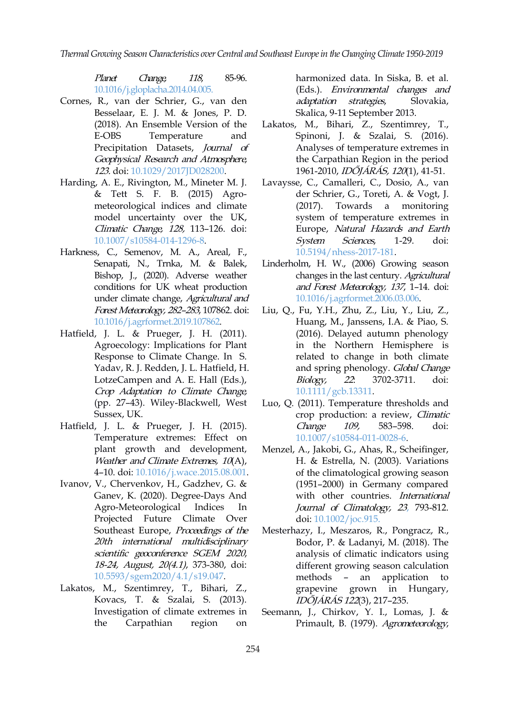*Thermal Growing SeasonCharacteristics overCentral and Southeast Europein theChangingClimate 1950-2019*

Planet Change, <sup>118</sup>, 85-96. [10.1016/j.gloplacha.2014.04.005](https://doi.org/10.1016/j.gloplacha.2014.04.005).

- Cornes, R., van der Schrier, G., van den Besselaar, E. J. M. & Jones, P. D. (2018). An Ensemble Version of the Precipitation Datasets, Journal of Geophysical Research and Atmosphere, 123. doi: [10.1029/2017JD028200.](https://doi.org/10.1029/2017JD028200)
- Harding, A. E., Rivington, M., Mineter M. J. & Tett S. F. B. (2015) Agro meteorological indices and climate (2017). model uncertainty over the UK, Climatic Change, 128, 113–126. doi: [10.1007/s10584-014-1296-8](https://doi.org/10.1007/s10584-014-1296-8).
- Harkness, C., Semenov, M. A., Areal, F., Senapati, N., Trnka, M. & Balek, Bishop, J., (2020). Adverse weather conditions for UK wheat production under climate change, Agricultural and Forest Meteorology, 282–283, 107862. doi: [10.1016/j.agrformet.2019.107862](https://doi.org/10.1016/j.agrformet.2019.107862).
- Hatfield, J. L. & Prueger, J. H. (2011). Agroecology: Implications for Plant Response to Climate Change. In S. Yadav, R. J. Redden, J. L. Hatfield, H. LotzeCampen and A. E. Hall (Eds.), Crop Adaptation to Climate Change, (pp. 27–43). Wiley-Blackwell, West Sussex, UK.
- Hatfield, J. L. & Prueger, J. H. (2015). Temperature extremes: Effect on plant growth and development, Weather and Climate Extremes, 10(A), 4–10. doi: [10.1016/j.wace.2015.08.001](https://doi.org/10.1016/j.wace.2015.08.001).
- Ivanov, V., Chervenkov, H., Gadzhev, G. & Ganev, K. (2020). Degree-Days And Agro-Meteorological Indices In Projected Future Climate Over Southeast Europe, Proceedings of the 20th international multidisciplinary scientific geoconference SGEM <sup>2020</sup>, 18-24, August, 20(4.1), 373-380, doi: [10.5593/sgem2020/4.1/s19.047](https://doi.org/10.5593/sgem2020/4.1/s19.047).
- Lakatos, M., Szentimrey, T., Bihari, Z., Kovacs, T. & Szalai, S. (2013). Investigation of climate extremes in

harmonized data. In Siska, B. et al.<br>(Eds.). *Environmental changes and* strategies, Slovakia, Skalica, 9-11 September 2013.

- E-OBS Temperature and Spinoni, J. & Szalai, S. (2016). Lakatos, M., Bihari, Z., Szentimrey, T., Analyses of temperature extremes in the Carpathian Region in the period 1961-2010, IDŐJÁRÁS, <sup>120</sup>(1), 41-51.
	- Lavaysse, C., Camalleri, C., Dosio, A., van der Schrier, G., Toreti, A. & Vogt, J. Towards a monitoring system of temperature extremes in Europe, Natural Hazards and Earth System Sciences, 1-29. doi: [10.5194/nhess-2017-181.](https://doi.org/10.5194/nhess-2017-181)
	- Linderholm, H. W., (2006) Growing season changes in the last century. Agricultural and Forest Meteorology, <sup>137</sup>, 1–14. doi: [10.1016/j.agrformet.2006.03.006.](https://doi.org/10.1016/j.agrformet.2006.03.006)
	- Liu, Q., Fu, Y.H., Zhu, Z., Liu, Y., Liu, Z., Huang, M., Janssens, I.A. & Piao, S. (2016). Delayed autumn phenology in the Northern Hemisphere is related to change in both climate and spring phenology. Global Change Biology, <sup>22</sup>: 3702-3711. doi: [10.1111/gcb.13311](https://doi.org/10.1111/gcb.13311).
	- Luo, Q. (2011). Temperature thresholds and crop production: a review, Climatic Change 109, 583–598. doi: [10.1007/s10584-011-0028-6.](https://doi.org/10.1007/s10584-011-0028-6)
	- Menzel, A., Jakobi, G., Ahas, R., Scheifinger, H. & Estrella, N. (2003). Variations of the climatological growing season (1951–2000) in Germany compared with other countries. International Journal of Climatology, <sup>23</sup>, 793-812. doi: [10.1002/joc.915.](https://doi.org/10.1002/joc.915)
	- Mesterhazy, I., Meszaros, R., Pongracz, R., Bodor, P. & Ladanyi, M. (2018). The analysis of climatic indicators using different growing season calculation methods – an application to grapevine grown in Hungary, IDŐJÁRÁS <sup>122</sup>(3), 217–235.
- the Carpathian region on Primault, B. (1979). Agrometeorology, Seemann, J., Chirkov, Y. I., Lomas, J. &